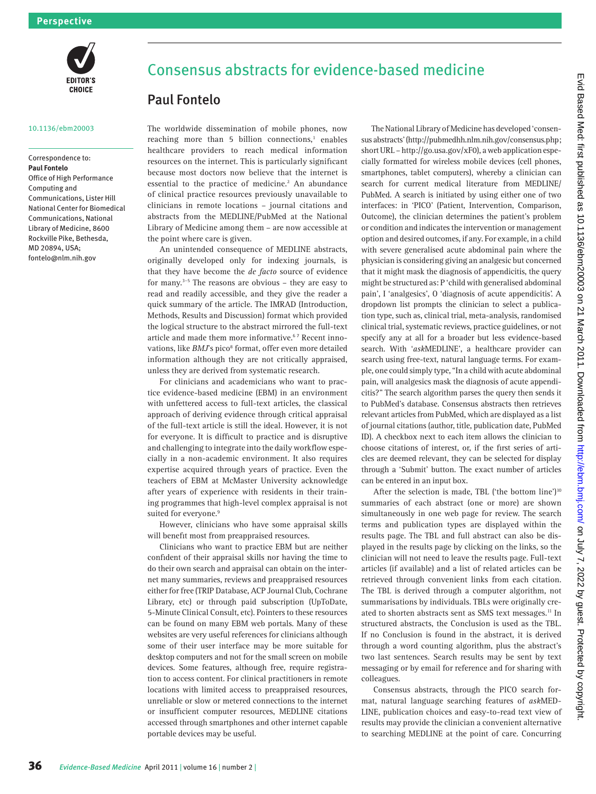

#### 10.1136/ebm20003

### Correspondence to: **Paul Fontelo**

Office of High Performance Computing and Communications, Lister Hill National Center for Biomedical Communications, National Library of Medicine, 8600 Rockville Pike, Bethesda, MD 20894, USA; fontelo@nlm.nih.gov

# Consensus abstracts for evidence-based medicine

## Paul Fontelo

The worldwide dissemination of mobile phones, now reaching more than  $5$  billion connections,<sup>1</sup> enables healthcare providers to reach medical information resources on the internet. This is particularly significant because most doctors now believe that the internet is essential to the practice of medicine.<sup>2</sup> An abundance of clinical practice resources previously unavailable to clinicians in remote locations – journal citations and abstracts from the MEDLINE/PubMed at the National Library of Medicine among them – are now accessible at the point where care is given.

An unintended consequence of MEDLINE abstracts, originally developed only for indexing journals, is that they have become the *de facto* source of evidence for many.3–5 The reasons are obvious – they are easy to read and readily accessible, and they give the reader a quick summary of the article. The IMRAD (Introduction, Methods, Results and Discussion) format which provided the logical structure to the abstract mirrored the full-text article and made them more informative.<sup>67</sup> Recent innovations, like *BMJ*'s pico<sup>8</sup> format, offer even more detailed information although they are not critically appraised, unless they are derived from systematic research.

For clinicians and academicians who want to practice evidence-based medicine (EBM) in an environment with unfettered access to full-text articles, the classical approach of deriving evidence through critical appraisal of the full-text article is still the ideal. However, it is not for everyone. It is difficult to practice and is disruptive and challenging to integrate into the daily workflow especially in a non-academic environment. It also requires expertise acquired through years of practice. Even the teachers of EBM at McMaster University acknowledge after years of experience with residents in their training programmes that high-level complex appraisal is not suited for everyone.<sup>9</sup>

However, clinicians who have some appraisal skills will benefit most from preappraised resources.

Clinicians who want to practice EBM but are neither confident of their appraisal skills nor having the time to do their own search and appraisal can obtain on the internet many summaries, reviews and preappraised resources either for free (TRIP Database, ACP Journal Club, Cochrane Library, etc) or through paid subscription (UpToDate, 5-Minute Clinical Consult, etc). Pointers to these resources can be found on many EBM web portals. Many of these websites are very useful references for clinicians although some of their user interface may be more suitable for desktop computers and not for the small screen on mobile devices. Some features, although free, require registration to access content. For clinical practitioners in remote locations with limited access to preappraised resources, unreliable or slow or metered connections to the internet or insufficient computer resources, MEDLINE citations accessed through smartphones and other internet capable portable devices may be useful.

The National Library of Medicine has developed 'consensus abstracts' (http://pubmedhh.nlm.nih.gov/consensus.php; short URL – http://go.usa.gov/xF0), a web application especially formatted for wireless mobile devices (cell phones, smartphones, tablet computers), whereby a clinician can search for current medical literature from MEDLINE/ PubMed. A search is initiated by using either one of two interfaces: in 'PICO' (Patient, Intervention, Comparison, Outcome), the clinician determines the patient's problem or condition and indicates the intervention or management option and desired outcomes, if any. For example, in a child with severe generalised acute abdominal pain where the physician is considering giving an analgesic but concerned that it might mask the diagnosis of appendicitis, the query might be structured as: P 'child with generalised abdominal pain', I 'analgesics', O 'diagnosis of acute appendicitis'. A dropdown list prompts the clinician to select a publication type, such as, clinical trial, meta-analysis, randomised clinical trial, systematic reviews, practice guidelines, or not specify any at all for a broader but less evidence-based search. With '*ask*MEDLINE', a healthcare provider can search using free-text, natural language terms. For example, one could simply type, "In a child with acute abdominal pain, will analgesics mask the diagnosis of acute appendicitis?" The search algorithm parses the query then sends it to PubMed's database. Consensus abstracts then retrieves relevant articles from PubMed, which are displayed as a list of journal citations (author, title, publication date, PubMed ID). A checkbox next to each item allows the clinician to choose citations of interest, or, if the first series of articles are deemed relevant, they can be selected for display through a 'Submit' button. The exact number of articles can be entered in an input box. **Paul Fontiele**<br>
11:  $e^{-t/2}$  the method of mini-parties on 21 March 2017 in the method of mini-parties of mini-parties on 21 March 2017 in the method with the method with the method with the method with the method with t

After the selection is made, TBL ('the bottom line')<sup>10</sup> summaries of each abstract (one or more) are shown simultaneously in one web page for review. The search terms and publication types are displayed within the results page. The TBL and full abstract can also be displayed in the results page by clicking on the links, so the clinician will not need to leave the results page. Full-text articles (if available) and a list of related articles can be retrieved through convenient links from each citation. The TBL is derived through a computer algorithm, not summarisations by individuals. TBLs were originally created to shorten abstracts sent as SMS text messages.<sup>11</sup> In structured abstracts, the Conclusion is used as the TBL. If no Conclusion is found in the abstract, it is derived through a word counting algorithm, plus the abstract's two last sentences. Search results may be sent by text messaging or by email for reference and for sharing with colleagues.

Consensus abstracts, through the PICO search format, natural language searching features of *ask*MED-LINE, publication choices and easy-to-read text view of results may provide the clinician a convenient alternative to searching MEDLINE at the point of care. Concurring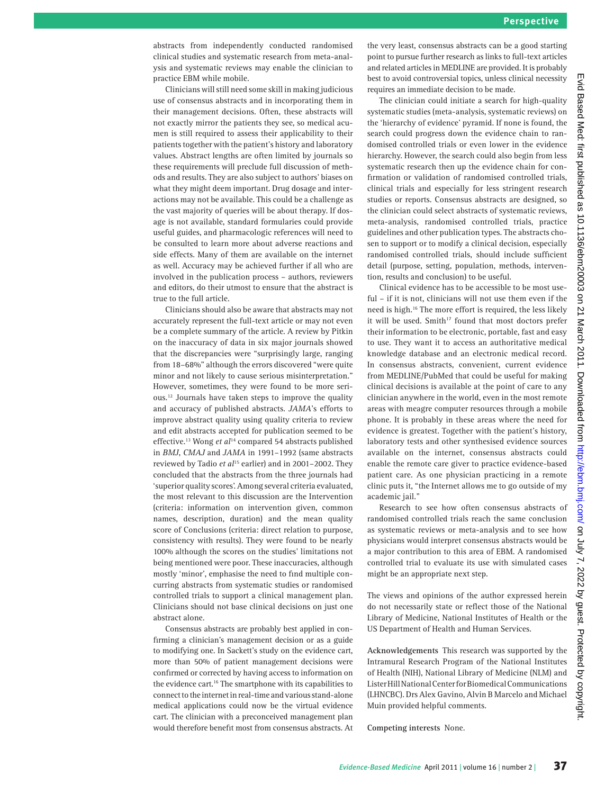abstracts from independently conducted randomised clinical studies and systematic research from meta-analysis and systematic reviews may enable the clinician to practice EBM while mobile.

Clinicians will still need some skill in making judicious use of consensus abstracts and in incorporating them in their management decisions. Often, these abstracts will not exactly mirror the patients they see, so medical acumen is still required to assess their applicability to their patients together with the patient's history and laboratory values. Abstract lengths are often limited by journals so these requirements will preclude full discussion of methods and results. They are also subject to authors' biases on what they might deem important. Drug dosage and interactions may not be available. This could be a challenge as the vast majority of queries will be about therapy. If dosage is not available, standard formularies could provide useful guides, and pharmacologic references will need to be consulted to learn more about adverse reactions and side effects. Many of them are available on the internet as well. Accuracy may be achieved further if all who are involved in the publication process – authors, reviewers and editors, do their utmost to ensure that the abstract is true to the full article.

Clinicians should also be aware that abstracts may not accurately represent the full-text article or may not even be a complete summary of the article. A review by Pitkin on the inaccuracy of data in six major journals showed that the discrepancies were "surprisingly large, ranging from 18–68%" although the errors discovered "were quite minor and not likely to cause serious misinterpretation." However, sometimes, they were found to be more serious.12 Journals have taken steps to improve the quality and accuracy of published abstracts. *JAMA*'s efforts to improve abstract quality using quality criteria to review and edit abstracts accepted for publication seemed to be effective.<sup>13</sup> Wong *et al*<sup>14</sup> compared 54 abstracts published in *BMJ*, *CMAJ* and *JAMA* in 1991–1992 (same abstracts reviewed by Tadio *et al*15 earlier) and in 2001–2002. They concluded that the abstracts from the three journals had 'superior quality scores'. Among several criteria evaluated, the most relevant to this discussion are the Intervention (criteria: information on intervention given, common names, description, duration) and the mean quality score of Conclusions (criteria: direct relation to purpose, consistency with results). They were found to be nearly 100% although the scores on the studies' limitations not being mentioned were poor. These inaccuracies, although mostly 'minor', emphasise the need to find multiple concurring abstracts from systematic studies or randomised controlled trials to support a clinical management plan. Clinicians should not base clinical decisions on just one abstract alone. For External on the material on the state of the state on the state of the state of the state of the state of the state of the state of the state of the state of the state of the state of the state of the state of the s

Consensus abstracts are probably best applied in confirming a clinician's management decision or as a guide to modifying one. In Sackett's study on the evidence cart, more than 50% of patient management decisions were confirmed or corrected by having access to information on the evidence cart.<sup>16</sup> The smartphone with its capabilities to connect to the internet in real-time and various stand-alone medical applications could now be the virtual evidence cart. The clinician with a preconceived management plan would therefore benefit most from consensus abstracts. At the very least, consensus abstracts can be a good starting point to pursue further research as links to full-text articles and related articles in MEDLINE are provided. It is probably best to avoid controversial topics, unless clinical necessity requires an immediate decision to be made.

The clinician could initiate a search for high-quality systematic studies (meta-analysis, systematic reviews) on the 'hierarchy of evidence' pyramid. If none is found, the search could progress down the evidence chain to randomised controlled trials or even lower in the evidence hierarchy. However, the search could also begin from less systematic research then up the evidence chain for confirmation or validation of randomised controlled trials, clinical trials and especially for less stringent research studies or reports. Consensus abstracts are designed, so the clinician could select abstracts of systematic reviews, meta-analysis, randomised controlled trials, practice guidelines and other publication types. The abstracts chosen to support or to modify a clinical decision, especially randomised controlled trials, should include sufficient detail (purpose, setting, population, methods, intervention, results and conclusion) to be useful.

Clinical evidence has to be accessible to be most useful – if it is not, clinicians will not use them even if the need is high.16 The more effort is required, the less likely it will be used. Smith<sup>17</sup> found that most doctors prefer their information to be electronic, portable, fast and easy to use. They want it to access an authoritative medical knowledge database and an electronic medical record. In consensus abstracts, convenient, current evidence from MEDLINE/PubMed that could be useful for making clinical decisions is available at the point of care to any clinician anywhere in the world, even in the most remote areas with meagre computer resources through a mobile phone. It is probably in these areas where the need for evidence is greatest. Together with the patient's history, laboratory tests and other synthesised evidence sources available on the internet, consensus abstracts could enable the remote care giver to practice evidence-based patient care. As one physician practicing in a remote clinic puts it, "the Internet allows me to go outside of my academic jail."

Research to see how often consensus abstracts of randomised controlled trials reach the same conclusion as systematic reviews or meta-analysis and to see how physicians would interpret consensus abstracts would be a major contribution to this area of EBM. A randomised controlled trial to evaluate its use with simulated cases might be an appropriate next step.

The views and opinions of the author expressed herein do not necessarily state or reflect those of the National Library of Medicine, National Institutes of Health or the US Department of Health and Human Services.

**Acknowledgements** This research was supported by the Intramural Research Program of the National Institutes of Health (NIH), National Library of Medicine (NLM) and Lister Hill National Center for Biomedical Communications (LHNCBC). Drs Alex Gavino, Alvin B Marcelo and Michael Muin provided helpful comments.

**Competing interests** None.